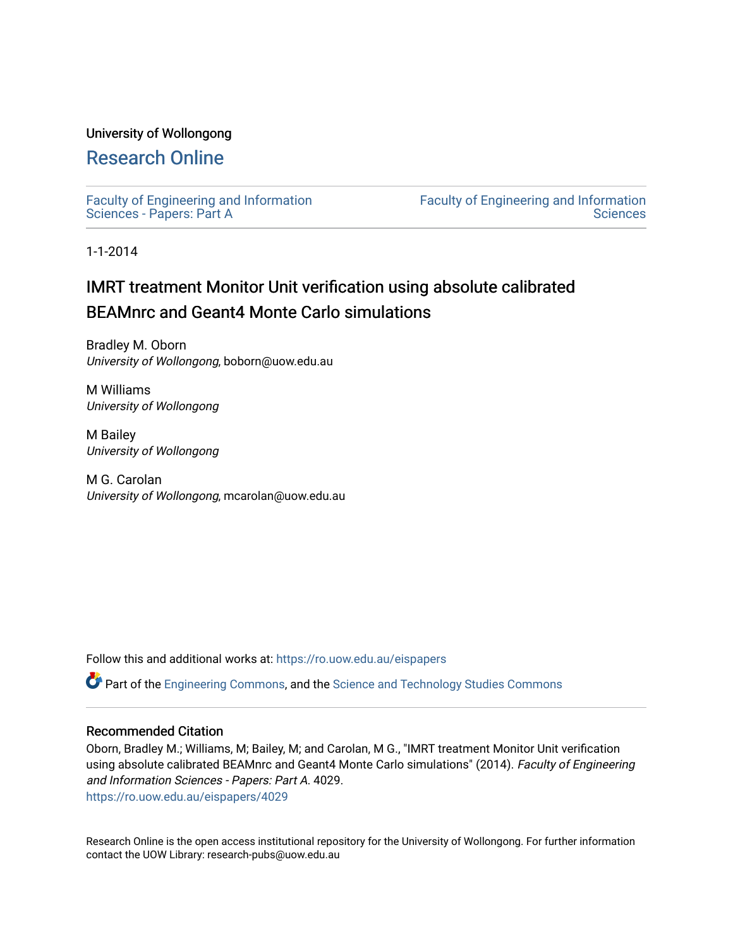# University of Wollongong

# [Research Online](https://ro.uow.edu.au/)

[Faculty of Engineering and Information](https://ro.uow.edu.au/eispapers)  [Sciences - Papers: Part A](https://ro.uow.edu.au/eispapers) 

[Faculty of Engineering and Information](https://ro.uow.edu.au/eis)  **Sciences** 

1-1-2014

# IMRT treatment Monitor Unit verification using absolute calibrated BEAMnrc and Geant4 Monte Carlo simulations

Bradley M. Oborn University of Wollongong, boborn@uow.edu.au

M Williams University of Wollongong

M Bailey University of Wollongong

M G. Carolan University of Wollongong, mcarolan@uow.edu.au

Follow this and additional works at: [https://ro.uow.edu.au/eispapers](https://ro.uow.edu.au/eispapers?utm_source=ro.uow.edu.au%2Feispapers%2F4029&utm_medium=PDF&utm_campaign=PDFCoverPages)

Part of the [Engineering Commons](http://network.bepress.com/hgg/discipline/217?utm_source=ro.uow.edu.au%2Feispapers%2F4029&utm_medium=PDF&utm_campaign=PDFCoverPages), and the [Science and Technology Studies Commons](http://network.bepress.com/hgg/discipline/435?utm_source=ro.uow.edu.au%2Feispapers%2F4029&utm_medium=PDF&utm_campaign=PDFCoverPages)

## Recommended Citation

Oborn, Bradley M.; Williams, M; Bailey, M; and Carolan, M G., "IMRT treatment Monitor Unit verification using absolute calibrated BEAMnrc and Geant4 Monte Carlo simulations" (2014). Faculty of Engineering and Information Sciences - Papers: Part A. 4029.

[https://ro.uow.edu.au/eispapers/4029](https://ro.uow.edu.au/eispapers/4029?utm_source=ro.uow.edu.au%2Feispapers%2F4029&utm_medium=PDF&utm_campaign=PDFCoverPages) 

Research Online is the open access institutional repository for the University of Wollongong. For further information contact the UOW Library: research-pubs@uow.edu.au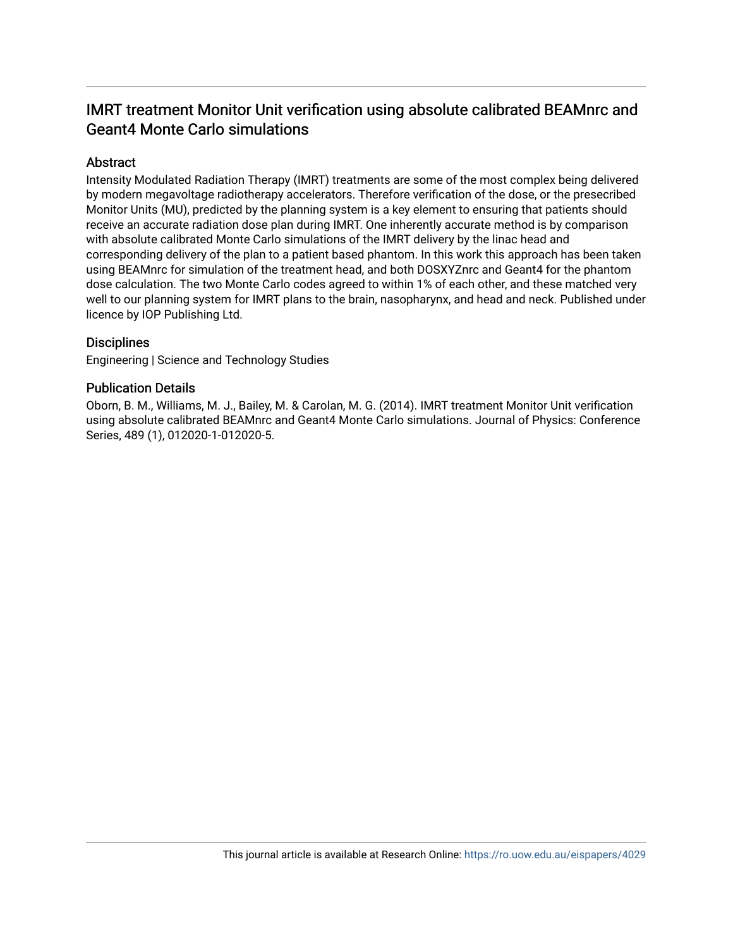# IMRT treatment Monitor Unit verification using absolute calibrated BEAMnrc and Geant4 Monte Carlo simulations

# **Abstract**

Intensity Modulated Radiation Therapy (IMRT) treatments are some of the most complex being delivered by modern megavoltage radiotherapy accelerators. Therefore verification of the dose, or the presecribed Monitor Units (MU), predicted by the planning system is a key element to ensuring that patients should receive an accurate radiation dose plan during IMRT. One inherently accurate method is by comparison with absolute calibrated Monte Carlo simulations of the IMRT delivery by the linac head and corresponding delivery of the plan to a patient based phantom. In this work this approach has been taken using BEAMnrc for simulation of the treatment head, and both DOSXYZnrc and Geant4 for the phantom dose calculation. The two Monte Carlo codes agreed to within 1% of each other, and these matched very well to our planning system for IMRT plans to the brain, nasopharynx, and head and neck. Published under licence by IOP Publishing Ltd.

# **Disciplines**

Engineering | Science and Technology Studies

# Publication Details

Oborn, B. M., Williams, M. J., Bailey, M. & Carolan, M. G. (2014). IMRT treatment Monitor Unit verification using absolute calibrated BEAMnrc and Geant4 Monte Carlo simulations. Journal of Physics: Conference Series, 489 (1), 012020-1-012020-5.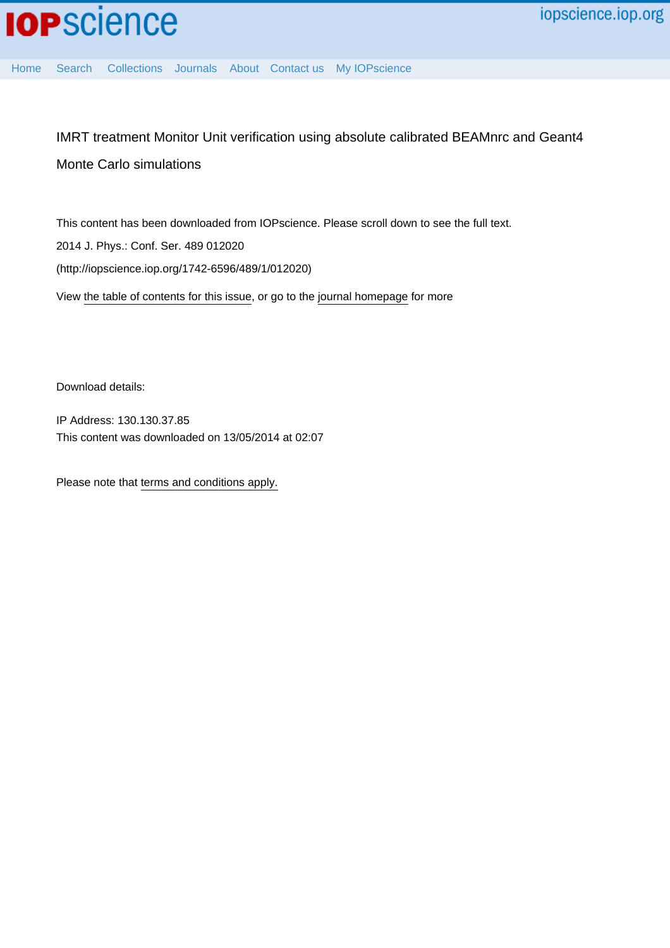[Home](http://iopscience.iop.org/) [Search](http://iopscience.iop.org/search) [Collections](http://iopscience.iop.org/collections) [Journals](http://iopscience.iop.org/journals) [About](http://iopscience.iop.org/page/aboutioppublishing) [Contact us](http://iopscience.iop.org/contact) [My IOPscience](http://iopscience.iop.org/myiopscience)

# IMRT treatment Monitor Unit verification using absolute calibrated BEAMnrc and Geant4 Monte Carlo simulations

This content has been downloaded from IOPscience. Please scroll down to see the full text. View [the table of contents for this issue](http://iopscience.iop.org/1742-6596/489/1), or go to the [journal homepage](http://iopscience.iop.org/1742-6596) for more 2014 J. Phys.: Conf. Ser. 489 012020 (http://iopscience.iop.org/1742-6596/489/1/012020)

Download details:

IP Address: 130.130.37.85 This content was downloaded on 13/05/2014 at 02:07

Please note that [terms and conditions apply.](iopscience.iop.org/page/terms)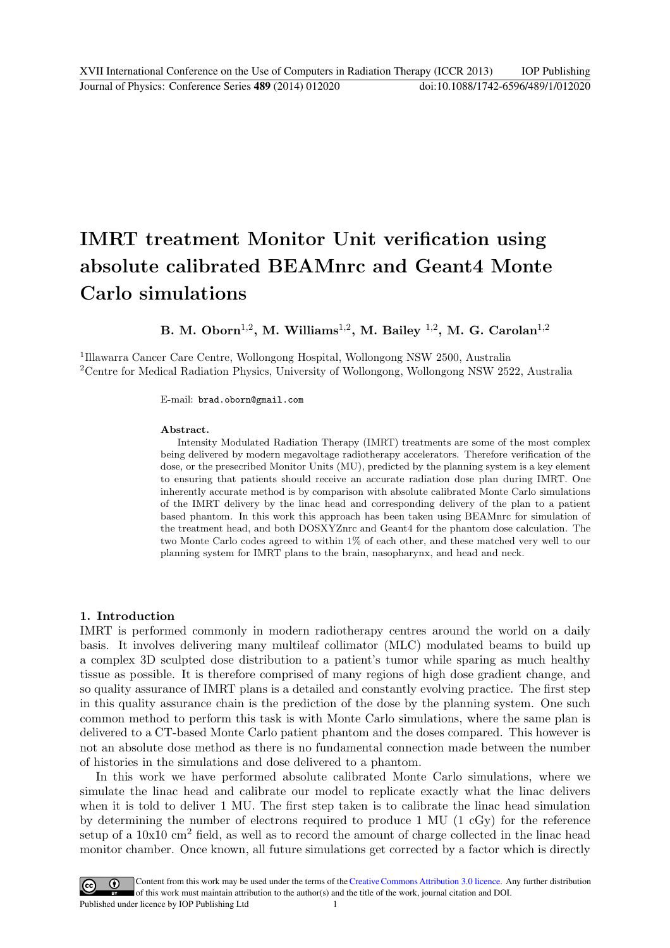# IMRT treatment Monitor Unit verification using absolute calibrated BEAMnrc and Geant4 Monte Carlo simulations

B. M. Oborn $^{1,2}$ , M. Williams $^{1,2}$ , M. Bailey  $^{1,2}$ , M. G. Carolan $^{1,2}$ 

1 Illawarra Cancer Care Centre, Wollongong Hospital, Wollongong NSW 2500, Australia <sup>2</sup>Centre for Medical Radiation Physics, University of Wollongong, Wollongong NSW 2522, Australia

E-mail: brad.oborn@gmail.com

#### Abstract.

Intensity Modulated Radiation Therapy (IMRT) treatments are some of the most complex being delivered by modern megavoltage radiotherapy accelerators. Therefore verification of the dose, or the presecribed Monitor Units (MU), predicted by the planning system is a key element to ensuring that patients should receive an accurate radiation dose plan during IMRT. One inherently accurate method is by comparison with absolute calibrated Monte Carlo simulations of the IMRT delivery by the linac head and corresponding delivery of the plan to a patient based phantom. In this work this approach has been taken using BEAMnrc for simulation of the treatment head, and both DOSXYZnrc and Geant4 for the phantom dose calculation. The two Monte Carlo codes agreed to within 1% of each other, and these matched very well to our planning system for IMRT plans to the brain, nasopharynx, and head and neck.

#### 1. Introduction

IMRT is performed commonly in modern radiotherapy centres around the world on a daily basis. It involves delivering many multileaf collimator (MLC) modulated beams to build up a complex 3D sculpted dose distribution to a patient's tumor while sparing as much healthy tissue as possible. It is therefore comprised of many regions of high dose gradient change, and so quality assurance of IMRT plans is a detailed and constantly evolving practice. The first step in this quality assurance chain is the prediction of the dose by the planning system. One such common method to perform this task is with Monte Carlo simulations, where the same plan is delivered to a CT-based Monte Carlo patient phantom and the doses compared. This however is not an absolute dose method as there is no fundamental connection made between the number of histories in the simulations and dose delivered to a phantom.

In this work we have performed absolute calibrated Monte Carlo simulations, where we simulate the linac head and calibrate our model to replicate exactly what the linac delivers when it is told to deliver 1 MU. The first step taken is to calibrate the linac head simulation by determining the number of electrons required to produce 1 MU (1 cGy) for the reference setup of a  $10x10 \text{ cm}^2$  field, as well as to record the amount of charge collected in the linac head monitor chamber. Once known, all future simulations get corrected by a factor which is directly

Content from this work may be used under the terms of the Creative Commons Attribution 3.0 licence. Any further distribution  $(cc)$ of this work must maintain attribution to the author(s) and the title of the work, journal citation and DOI. Published under licence by IOP Publishing Ltd 1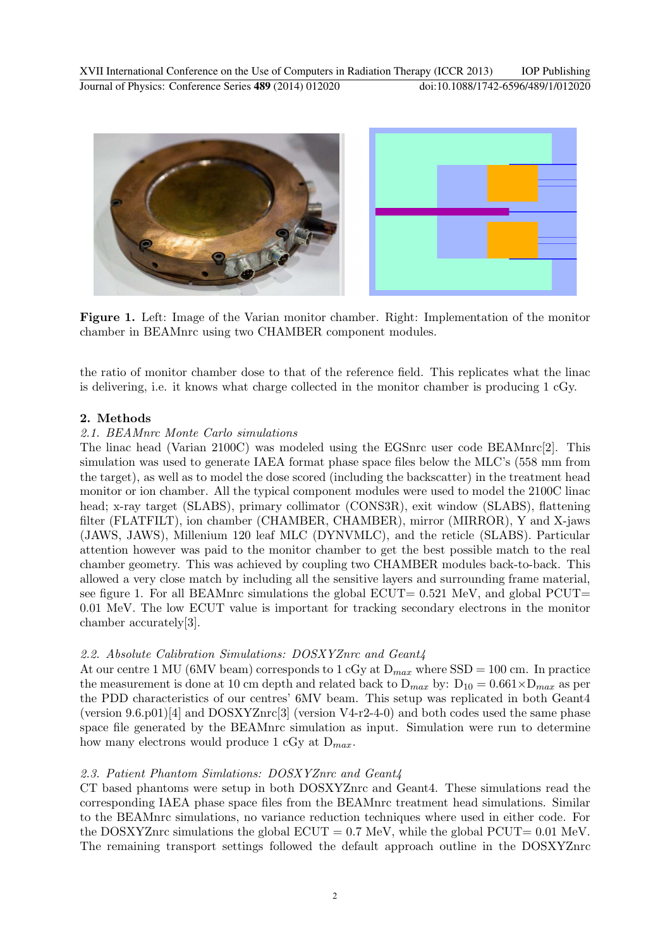

Figure 1. Left: Image of the Varian monitor chamber. Right: Implementation of the monitor chamber in BEAMnrc using two CHAMBER component modules.

the ratio of monitor chamber dose to that of the reference field. This replicates what the linac is delivering, i.e. it knows what charge collected in the monitor chamber is producing 1 cGy.

## 2. Methods

#### *2.1. BEAMnrc Monte Carlo simulations*

The linac head (Varian 2100C) was modeled using the EGSnrc user code BEAMnrc[2]. This simulation was used to generate IAEA format phase space files below the MLC's (558 mm from the target), as well as to model the dose scored (including the backscatter) in the treatment head monitor or ion chamber. All the typical component modules were used to model the 2100C linac head; x-ray target (SLABS), primary collimator (CONS3R), exit window (SLABS), flattening filter (FLATFILT), ion chamber (CHAMBER, CHAMBER), mirror (MIRROR), Y and X-jaws (JAWS, JAWS), Millenium 120 leaf MLC (DYNVMLC), and the reticle (SLABS). Particular attention however was paid to the monitor chamber to get the best possible match to the real chamber geometry. This was achieved by coupling two CHAMBER modules back-to-back. This allowed a very close match by including all the sensitive layers and surrounding frame material, see figure 1. For all BEAMnrc simulations the global  $ECUT= 0.521$  MeV, and global  $PCUT=$ 0.01 MeV. The low ECUT value is important for tracking secondary electrons in the monitor chamber accurately[3].

# *2.2. Absolute Calibration Simulations: DOSXYZnrc and Geant4*

At our centre 1 MU (6MV beam) corresponds to 1 cGy at  $D_{max}$  where SSD = 100 cm. In practice the measurement is done at 10 cm depth and related back to  $D_{max}$  by:  $D_{10} = 0.661 \times D_{max}$  as per the PDD characteristics of our centres' 6MV beam. This setup was replicated in both Geant4 (version  $9.6 \cdot p01$ )[4] and DOSXYZnrc[3] (version V4-r2-4-0) and both codes used the same phase space file generated by the BEAMnrc simulation as input. Simulation were run to determine how many electrons would produce 1 cGy at  $D_{max}$ .

## *2.3. Patient Phantom Simlations: DOSXYZnrc and Geant4*

CT based phantoms were setup in both DOSXYZnrc and Geant4. These simulations read the corresponding IAEA phase space files from the BEAMnrc treatment head simulations. Similar to the BEAMnrc simulations, no variance reduction techniques where used in either code. For the DOSXYZnrc simulations the global  $ECUT = 0.7$  MeV, while the global  $PCUT = 0.01$  MeV. The remaining transport settings followed the default approach outline in the DOSXYZnrc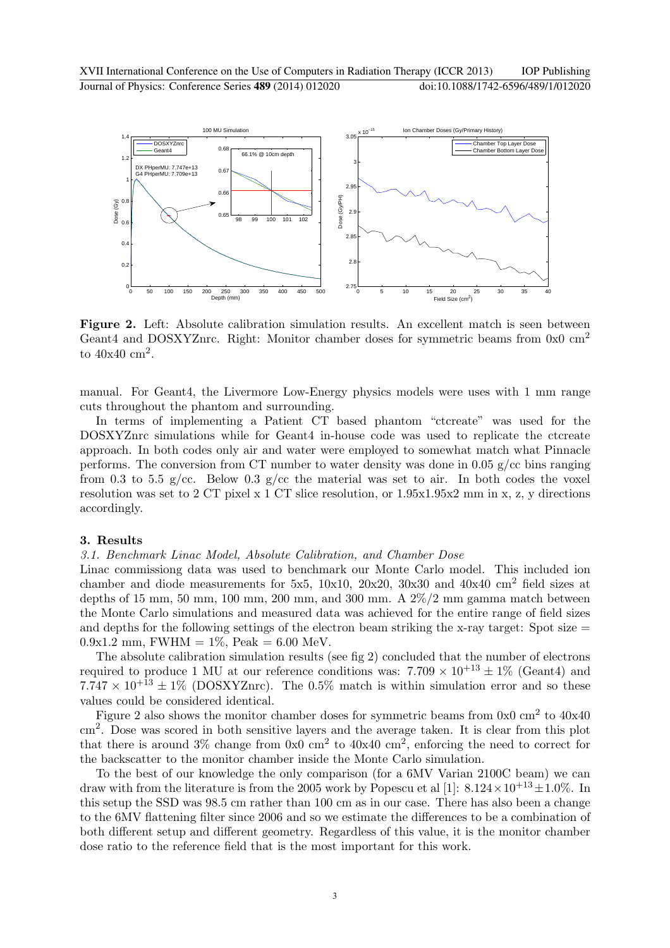

Figure 2. Left: Absolute calibration simulation results. An excellent match is seen between Geant4 and DOSXYZnrc. Right: Monitor chamber doses for symmetric beams from 0x0 cm<sup>2</sup> to  $40x40$  cm<sup>2</sup>.

manual. For Geant4, the Livermore Low-Energy physics models were uses with 1 mm range cuts throughout the phantom and surrounding.

In terms of implementing a Patient CT based phantom "ctcreate" was used for the DOSXYZnrc simulations while for Geant4 in-house code was used to replicate the ctcreate approach. In both codes only air and water were employed to somewhat match what Pinnacle performs. The conversion from CT number to water density was done in 0.05  $g/cc$  bins ranging from 0.3 to 5.5 g/cc. Below 0.3 g/cc the material was set to air. In both codes the voxel resolution was set to 2 CT pixel x 1 CT slice resolution, or 1.95x1.95x2 mm in x, z, y directions accordingly.

#### 3. Results

#### *3.1. Benchmark Linac Model, Absolute Calibration, and Chamber Dose*

Linac commissiong data was used to benchmark our Monte Carlo model. This included ion chamber and diode measurements for 5x5, 10x10, 20x20, 30x30 and 40x40 cm<sup>2</sup> field sizes at depths of 15 mm, 50 mm, 100 mm, 200 mm, and 300 mm. A  $2\%/2$  mm gamma match between the Monte Carlo simulations and measured data was achieved for the entire range of field sizes and depths for the following settings of the electron beam striking the x-ray target: Spot size  $=$  $0.9x1.2$  mm, FWHM =  $1\%$ , Peak = 6.00 MeV.

The absolute calibration simulation results (see fig 2) concluded that the number of electrons required to produce 1 MU at our reference conditions was:  $7.709 \times 10^{+13} \pm 1\%$  (Geant4) and  $7.747 \times 10^{+13} \pm 1\%$  (DOSXYZnrc). The 0.5% match is within simulation error and so these values could be considered identical.

Figure 2 also shows the monitor chamber doses for symmetric beams from  $0x0 \text{ cm}^2$  to  $40x40$ cm<sup>2</sup> . Dose was scored in both sensitive layers and the average taken. It is clear from this plot that there is around  $3\%$  change from  $0x0 \text{ cm}^2$  to  $40x40 \text{ cm}^2$ , enforcing the need to correct for the backscatter to the monitor chamber inside the Monte Carlo simulation.

To the best of our knowledge the only comparison (for a 6MV Varian 2100C beam) we can draw with from the literature is from the 2005 work by Popescu et al [1]:  $8.124 \times 10^{+13} \pm 1.0\%$ . In this setup the SSD was 98.5 cm rather than 100 cm as in our case. There has also been a change to the 6MV flattening filter since 2006 and so we estimate the differences to be a combination of both different setup and different geometry. Regardless of this value, it is the monitor chamber dose ratio to the reference field that is the most important for this work.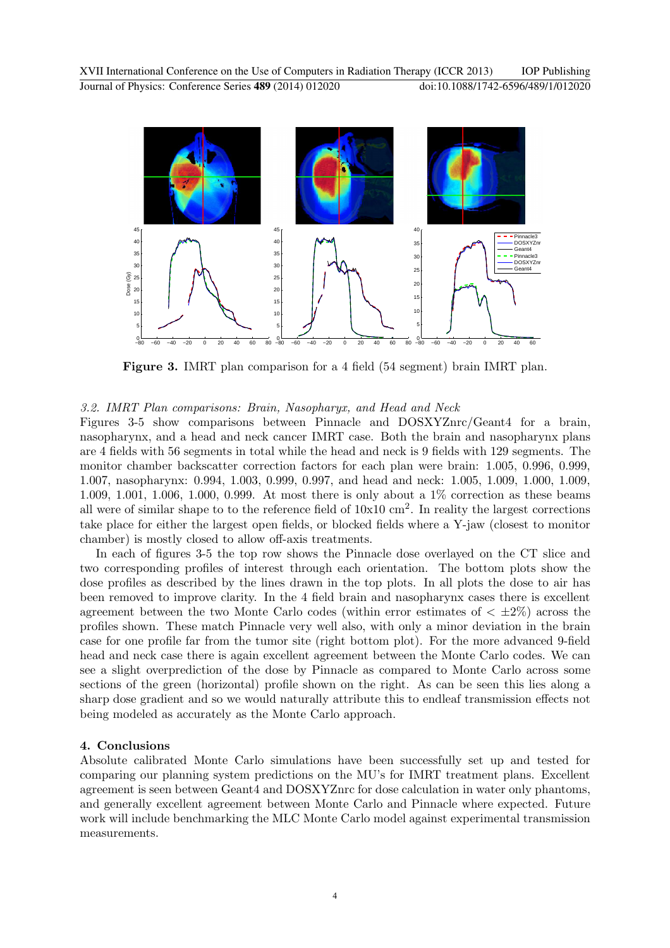

Figure 3. IMRT plan comparison for a 4 field (54 segment) brain IMRT plan.

## *3.2. IMRT Plan comparisons: Brain, Nasopharyx, and Head and Neck*

Figures 3-5 show comparisons between Pinnacle and DOSXYZnrc/Geant4 for a brain, nasopharynx, and a head and neck cancer IMRT case. Both the brain and nasopharynx plans are 4 fields with 56 segments in total while the head and neck is 9 fields with 129 segments. The monitor chamber backscatter correction factors for each plan were brain: 1.005, 0.996, 0.999, 1.007, nasopharynx: 0.994, 1.003, 0.999, 0.997, and head and neck: 1.005, 1.009, 1.000, 1.009, 1.009, 1.001, 1.006, 1.000, 0.999. At most there is only about a 1% correction as these beams all were of similar shape to to the reference field of  $10x10$  cm<sup>2</sup>. In reality the largest corrections take place for either the largest open fields, or blocked fields where a Y-jaw (closest to monitor chamber) is mostly closed to allow off-axis treatments.

In each of figures 3-5 the top row shows the Pinnacle dose overlayed on the CT slice and two corresponding profiles of interest through each orientation. The bottom plots show the dose profiles as described by the lines drawn in the top plots. In all plots the dose to air has been removed to improve clarity. In the 4 field brain and nasopharynx cases there is excellent agreement between the two Monte Carlo codes (within error estimates of  $\langle \pm 2\% \rangle$ ) across the profiles shown. These match Pinnacle very well also, with only a minor deviation in the brain case for one profile far from the tumor site (right bottom plot). For the more advanced 9-field head and neck case there is again excellent agreement between the Monte Carlo codes. We can see a slight overprediction of the dose by Pinnacle as compared to Monte Carlo across some sections of the green (horizontal) profile shown on the right. As can be seen this lies along a sharp dose gradient and so we would naturally attribute this to endleaf transmission effects not being modeled as accurately as the Monte Carlo approach.

## 4. Conclusions

Absolute calibrated Monte Carlo simulations have been successfully set up and tested for comparing our planning system predictions on the MU's for IMRT treatment plans. Excellent agreement is seen between Geant4 and DOSXYZnrc for dose calculation in water only phantoms, and generally excellent agreement between Monte Carlo and Pinnacle where expected. Future work will include benchmarking the MLC Monte Carlo model against experimental transmission measurements.